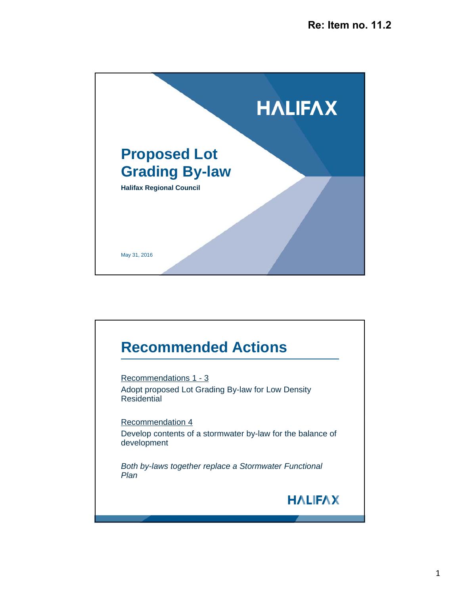

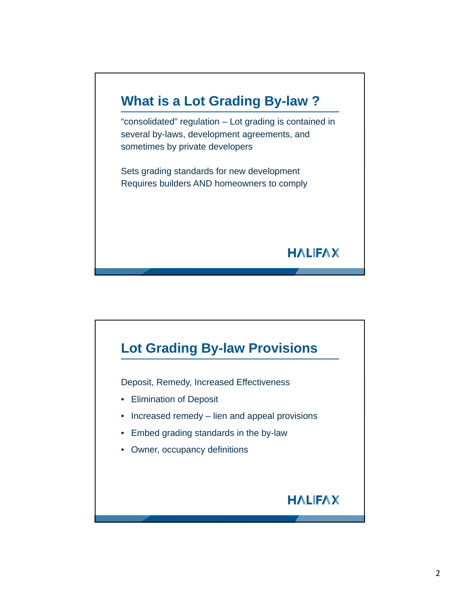

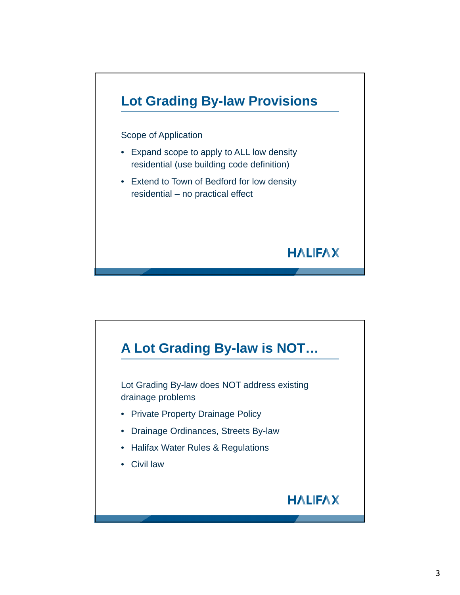